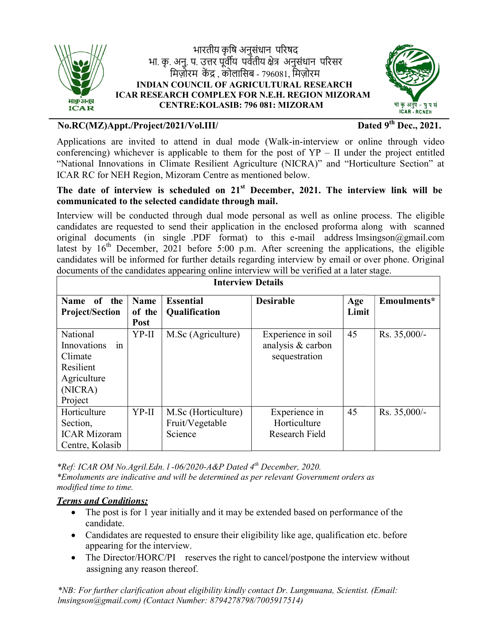

भा. कृ. अनु. प. उत्तर पूर्वीय पर्वतीय क्षेत्र अनुसंधान परिसर मिज़ोरम केंद्र , कोलासिब - 796081, मिज़ोरम INDIAN COUNCIL OF AGRICULTURAL RESEARCH ICAR RESEARCH COMPLEX FOR N.E.H. REGION MIZORAM **AN COUNCIL OF AGRICULTURAL RESE<br>EARCH COMPLEX FOR N.E.H. REGION I<br>CENTRE:KOLASIB: 796 081: MIZORAM** भारतीय कृषि अनसंधान परिषद  $\overline{a}$ 



# No.RC(MZ)Appt./Project/2021/Vol.III/ Dated !

Dated  $9^{th}$  Dec., 2021.

### The date of interview is scheduled on 21<sup>st</sup> December, 2021. The interview link will be communicated to the selected candidate through mail mail.

| No.RC(MZ)Appt./Project/2021/Vol.III/                                                                                                               |                |                                                                     |                                                                                                                                                                                                                                                                                                                                                                                                                                                                                                                                                                                                             |       | Dated $9th$ Dec., 2021. |
|----------------------------------------------------------------------------------------------------------------------------------------------------|----------------|---------------------------------------------------------------------|-------------------------------------------------------------------------------------------------------------------------------------------------------------------------------------------------------------------------------------------------------------------------------------------------------------------------------------------------------------------------------------------------------------------------------------------------------------------------------------------------------------------------------------------------------------------------------------------------------------|-------|-------------------------|
|                                                                                                                                                    |                | ICAR RC for NEH Region, Mizoram Centre as mentioned below.          | Applications are invited to attend in dual mode (Walk-in-interview or online through video<br>conferencing) whichever is applicable to them for the post of $YP - II$ under the project entitled<br>"National Innovations in Climate Resilient Agriculture (NICRA)" and "Horticulture Section" at                                                                                                                                                                                                                                                                                                           |       |                         |
|                                                                                                                                                    |                | communicated to the selected candidate through mail.                | The date of interview is scheduled on 21 <sup>st</sup> December, 2021. The interview link will be                                                                                                                                                                                                                                                                                                                                                                                                                                                                                                           |       |                         |
|                                                                                                                                                    |                | <b>Interview Details</b>                                            | Interview will be conducted through dual mode personal as well as online process. The eligible<br>candidates are requested to send their application in the enclosed proforma along with scanned<br>original documents (in single .PDF format) to this e-mail address lmsingson@gmail.com<br>latest by 16 <sup>th</sup> December, 2021 before 5:00 p.m. After screening the applications, the eligible<br>candidates will be informed for further details regarding interview by email or over phone. Original<br>documents of the candidates appearing online interview will be verified at a later stage. |       |                         |
| Name of the                                                                                                                                        | <b>Name</b>    | <b>Essential</b>                                                    | <b>Desirable</b>                                                                                                                                                                                                                                                                                                                                                                                                                                                                                                                                                                                            | Age   | Emoulments*             |
| <b>Project/Section</b>                                                                                                                             | of the<br>Post | Qualification                                                       |                                                                                                                                                                                                                                                                                                                                                                                                                                                                                                                                                                                                             | Limit |                         |
| National<br>Innovations<br>in<br>Climate<br>Resilient<br>Agriculture<br>(NICRA)<br>Project                                                         | YP-II          | M.Sc (Agriculture)                                                  | Experience in soil<br>analysis & carbon<br>sequestration                                                                                                                                                                                                                                                                                                                                                                                                                                                                                                                                                    | 45    | Rs. 35,000/-            |
| Horticulture<br>Section,<br><b>ICAR Mizoram</b><br>Centre, Kolasib                                                                                 | YP-II          | M.Sc (Horticulture)<br>Fruit/Vegetable<br>Science                   | Experience in<br>Horticulture<br>Research Field                                                                                                                                                                                                                                                                                                                                                                                                                                                                                                                                                             | 45    | Rs. 35,000/-            |
| modified time to time.<br><b>Terms and Conditions:</b><br>$\bullet$<br>candidate.<br>appearing for the interview.<br>assigning any reason thereof. |                | *Ref: ICAR OM No.Agril.Edn. 1-06/2020-A&P Dated 4th December, 2020. | *Emoluments are indicative and will be determined as per relevant Government orders as<br>The post is for 1 year initially and it may be extended based on performance of the<br>Candidates are requested to ensure their eligibility like age, qualification etc. before<br>The Director/HORC/PI reserves the right to cancel/postpone the interview without                                                                                                                                                                                                                                               |       |                         |
|                                                                                                                                                    |                | Imsingson@gmail.com) (Contact Number: 8794278798/7005917514)        | *NB: For further clarification about eligibility kindly contact Dr. Lungmuana, Scientist. (Email:                                                                                                                                                                                                                                                                                                                                                                                                                                                                                                           |       |                         |

### Terms and Conditions:

- The post is for 1 year initially and it may be extended based on performance of the candidate. • The post is for 1 year initially and it may be extended based on performance of the candidate.<br>• Candidates are requested to ensure their eligibility like age, qualification etc. before
- appearing for the interview.
- The Director/HORC/PI reserves the right to cancel/postpone the interview without assigning any reason thereof.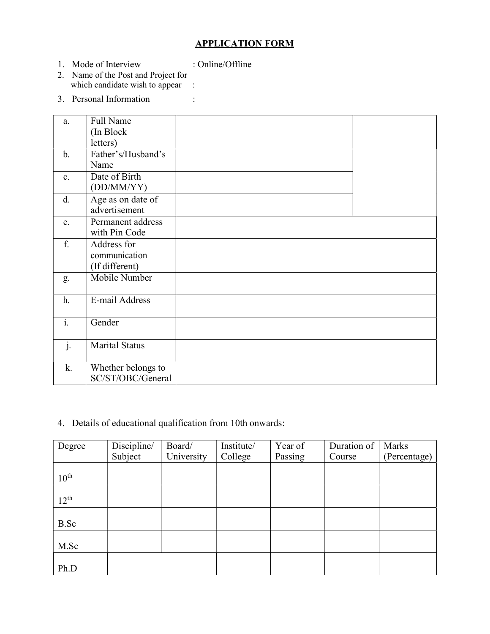# APPLICATION FORM

1. Mode of Interview : Online/Offline

- 2. Name of the Post and Project for which candidate wish to appear :
	- 3. Personal Information :

| a.             | Full Name             |  |
|----------------|-----------------------|--|
|                | (In Block)            |  |
|                | letters)              |  |
| $\mathbf{b}$ . | Father's/Husband's    |  |
|                | Name                  |  |
| $\mathbf{c}$ . | Date of Birth         |  |
|                | (DD/MM/YY)            |  |
| d.             | Age as on date of     |  |
|                | advertisement         |  |
| e.             | Permanent address     |  |
|                | with Pin Code         |  |
| f.             | Address for           |  |
|                | communication         |  |
|                | (If different)        |  |
| g.             | Mobile Number         |  |
|                |                       |  |
| h.             | E-mail Address        |  |
|                |                       |  |
| $\mathbf{i}$ . | Gender                |  |
|                |                       |  |
| $\mathbf{j}$ . | <b>Marital Status</b> |  |
|                |                       |  |
| k.             | Whether belongs to    |  |
|                | SC/ST/OBC/General     |  |

4. Details of educational qualification from 10th onwards:

| Degree           | Discipline/ | Board/     | Institute/ | Year of | Duration of | Marks        |
|------------------|-------------|------------|------------|---------|-------------|--------------|
|                  | Subject     | University | College    | Passing | Course      | (Percentage) |
|                  |             |            |            |         |             |              |
| $10^{\text{th}}$ |             |            |            |         |             |              |
|                  |             |            |            |         |             |              |
| $12^{th}$        |             |            |            |         |             |              |
|                  |             |            |            |         |             |              |
| B.Sc             |             |            |            |         |             |              |
|                  |             |            |            |         |             |              |
| M.Sc             |             |            |            |         |             |              |
|                  |             |            |            |         |             |              |
| Ph.D             |             |            |            |         |             |              |